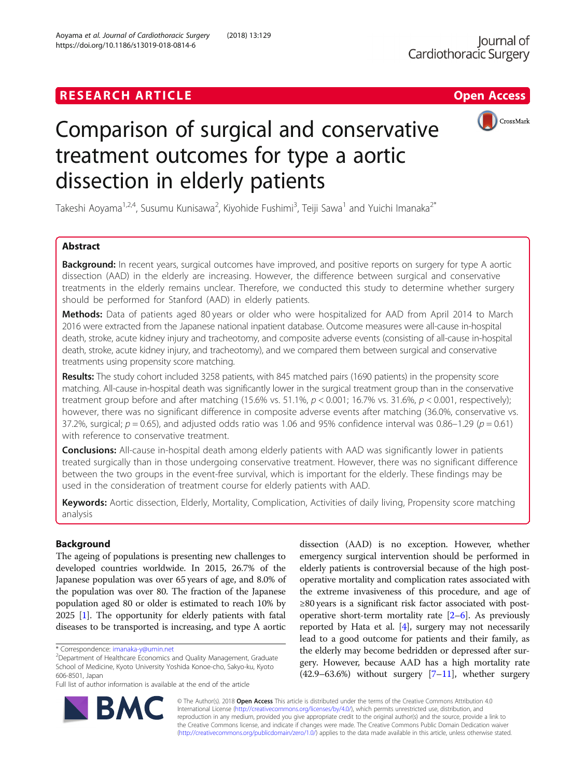

# Comparison of surgical and conservative treatment outcomes for type a aortic dissection in elderly patients

Takeshi Aoyama<sup>1,2,4</sup>, Susumu Kunisawa<sup>2</sup>, Kiyohide Fushimi<sup>3</sup>, Teiji Sawa<sup>1</sup> and Yuichi Imanaka<sup>2\*</sup>

# Abstract

Background: In recent years, surgical outcomes have improved, and positive reports on surgery for type A aortic dissection (AAD) in the elderly are increasing. However, the difference between surgical and conservative treatments in the elderly remains unclear. Therefore, we conducted this study to determine whether surgery should be performed for Stanford (AAD) in elderly patients.

Methods: Data of patients aged 80 years or older who were hospitalized for AAD from April 2014 to March 2016 were extracted from the Japanese national inpatient database. Outcome measures were all-cause in-hospital death, stroke, acute kidney injury and tracheotomy, and composite adverse events (consisting of all-cause in-hospital death, stroke, acute kidney injury, and tracheotomy), and we compared them between surgical and conservative treatments using propensity score matching.

Results: The study cohort included 3258 patients, with 845 matched pairs (1690 patients) in the propensity score matching. All-cause in-hospital death was significantly lower in the surgical treatment group than in the conservative treatment group before and after matching (15.6% vs. 51.1%,  $p < 0.001$ ; 16.7% vs. 31.6%,  $p < 0.001$ , respectively); however, there was no significant difference in composite adverse events after matching (36.0%, conservative vs. 37.2%, surgical;  $p = 0.65$ ), and adjusted odds ratio was 1.06 and 95% confidence interval was 0.86–1.29 ( $p = 0.61$ ) with reference to conservative treatment.

**Conclusions:** All-cause in-hospital death among elderly patients with AAD was significantly lower in patients treated surgically than in those undergoing conservative treatment. However, there was no significant difference between the two groups in the event-free survival, which is important for the elderly. These findings may be used in the consideration of treatment course for elderly patients with AAD.

Keywords: Aortic dissection, Elderly, Mortality, Complication, Activities of daily living, Propensity score matching analysis

# Background

The ageing of populations is presenting new challenges to developed countries worldwide. In 2015, 26.7% of the Japanese population was over 65 years of age, and 8.0% of the population was over 80. The fraction of the Japanese population aged 80 or older is estimated to reach 10% by 2025 [\[1](#page-6-0)]. The opportunity for elderly patients with fatal diseases to be transported is increasing, and type A aortic

dissection (AAD) is no exception. However, whether emergency surgical intervention should be performed in elderly patients is controversial because of the high postoperative mortality and complication rates associated with the extreme invasiveness of this procedure, and age of ≥80 years is a significant risk factor associated with postoperative short-term mortality rate  $[2-6]$  $[2-6]$  $[2-6]$ . As previously reported by Hata et al.  $[4]$  $[4]$  $[4]$ , surgery may not necessarily lead to a good outcome for patients and their family, as the elderly may become bedridden or depressed after surgery. However, because AAD has a high mortality rate  $(42.9-63.6%)$  without surgery  $[7-11]$  $[7-11]$  $[7-11]$  $[7-11]$ , whether surgery



© The Author(s). 2018 Open Access This article is distributed under the terms of the Creative Commons Attribution 4.0 International License [\(http://creativecommons.org/licenses/by/4.0/](http://creativecommons.org/licenses/by/4.0/)), which permits unrestricted use, distribution, and reproduction in any medium, provided you give appropriate credit to the original author(s) and the source, provide a link to the Creative Commons license, and indicate if changes were made. The Creative Commons Public Domain Dedication waiver [\(http://creativecommons.org/publicdomain/zero/1.0/](http://creativecommons.org/publicdomain/zero/1.0/)) applies to the data made available in this article, unless otherwise stated.

<sup>\*</sup> Correspondence: [imanaka-y@umin.net](mailto:imanaka-y@umin.net) <sup>2</sup>

<sup>&</sup>lt;sup>2</sup>Department of Healthcare Economics and Quality Management, Graduate School of Medicine, Kyoto University Yoshida Konoe-cho, Sakyo-ku, Kyoto 606-8501, Japan

Full list of author information is available at the end of the article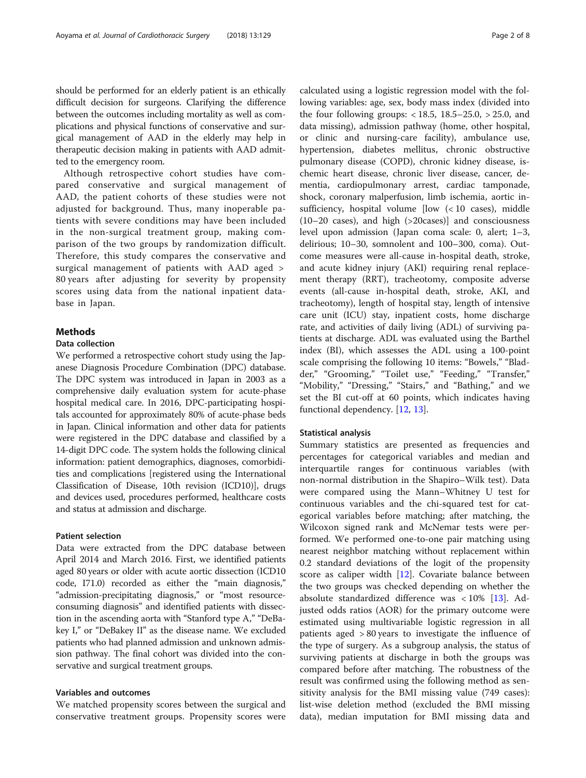should be performed for an elderly patient is an ethically difficult decision for surgeons. Clarifying the difference between the outcomes including mortality as well as complications and physical functions of conservative and surgical management of AAD in the elderly may help in therapeutic decision making in patients with AAD admitted to the emergency room.

Although retrospective cohort studies have compared conservative and surgical management of AAD, the patient cohorts of these studies were not adjusted for background. Thus, many inoperable patients with severe conditions may have been included in the non-surgical treatment group, making comparison of the two groups by randomization difficult. Therefore, this study compares the conservative and surgical management of patients with AAD aged > 80 years after adjusting for severity by propensity scores using data from the national inpatient database in Japan.

## Methods

# Data collection

We performed a retrospective cohort study using the Japanese Diagnosis Procedure Combination (DPC) database. The DPC system was introduced in Japan in 2003 as a comprehensive daily evaluation system for acute-phase hospital medical care. In 2016, DPC-participating hospitals accounted for approximately 80% of acute-phase beds in Japan. Clinical information and other data for patients were registered in the DPC database and classified by a 14-digit DPC code. The system holds the following clinical information: patient demographics, diagnoses, comorbidities and complications [registered using the International Classification of Disease, 10th revision (ICD10)], drugs and devices used, procedures performed, healthcare costs and status at admission and discharge.

#### Patient selection

Data were extracted from the DPC database between April 2014 and March 2016. First, we identified patients aged 80 years or older with acute aortic dissection (ICD10 code, I71.0) recorded as either the "main diagnosis," "admission-precipitating diagnosis," or "most resourceconsuming diagnosis" and identified patients with dissection in the ascending aorta with "Stanford type A," "DeBakey I," or "DeBakey II" as the disease name. We excluded patients who had planned admission and unknown admission pathway. The final cohort was divided into the conservative and surgical treatment groups.

# Variables and outcomes

We matched propensity scores between the surgical and conservative treatment groups. Propensity scores were calculated using a logistic regression model with the following variables: age, sex, body mass index (divided into the four following groups:  $< 18.5, 18.5 - 25.0, > 25.0,$  and data missing), admission pathway (home, other hospital, or clinic and nursing-care facility), ambulance use, hypertension, diabetes mellitus, chronic obstructive pulmonary disease (COPD), chronic kidney disease, ischemic heart disease, chronic liver disease, cancer, dementia, cardiopulmonary arrest, cardiac tamponade, shock, coronary malperfusion, limb ischemia, aortic insufficiency, hospital volume [low (< 10 cases), middle (10–20 cases), and high (>20cases)] and consciousness level upon admission (Japan coma scale: 0, alert; 1–3, delirious; 10–30, somnolent and 100–300, coma). Outcome measures were all-cause in-hospital death, stroke, and acute kidney injury (AKI) requiring renal replacement therapy (RRT), tracheotomy, composite adverse events (all-cause in-hospital death, stroke, AKI, and tracheotomy), length of hospital stay, length of intensive care unit (ICU) stay, inpatient costs, home discharge rate, and activities of daily living (ADL) of surviving patients at discharge. ADL was evaluated using the Barthel index (BI), which assesses the ADL using a 100-point scale comprising the following 10 items: "Bowels," "Bladder," "Grooming," "Toilet use," "Feeding," "Transfer," "Mobility," "Dressing," "Stairs," and "Bathing," and we set the BI cut-off at 60 points, which indicates having functional dependency. [[12](#page-6-0), [13](#page-6-0)].

## Statistical analysis

Summary statistics are presented as frequencies and percentages for categorical variables and median and interquartile ranges for continuous variables (with non-normal distribution in the Shapiro–Wilk test). Data were compared using the Mann–Whitney U test for continuous variables and the chi-squared test for categorical variables before matching; after matching, the Wilcoxon signed rank and McNemar tests were performed. We performed one-to-one pair matching using nearest neighbor matching without replacement within 0.2 standard deviations of the logit of the propensity score as caliper width [\[12](#page-6-0)]. Covariate balance between the two groups was checked depending on whether the absolute standardized difference was  $\langle 10\% \rangle$  [[13\]](#page-6-0). Adjusted odds ratios (AOR) for the primary outcome were estimated using multivariable logistic regression in all patients aged > 80 years to investigate the influence of the type of surgery. As a subgroup analysis, the status of surviving patients at discharge in both the groups was compared before after matching. The robustness of the result was confirmed using the following method as sensitivity analysis for the BMI missing value (749 cases): list-wise deletion method (excluded the BMI missing data), median imputation for BMI missing data and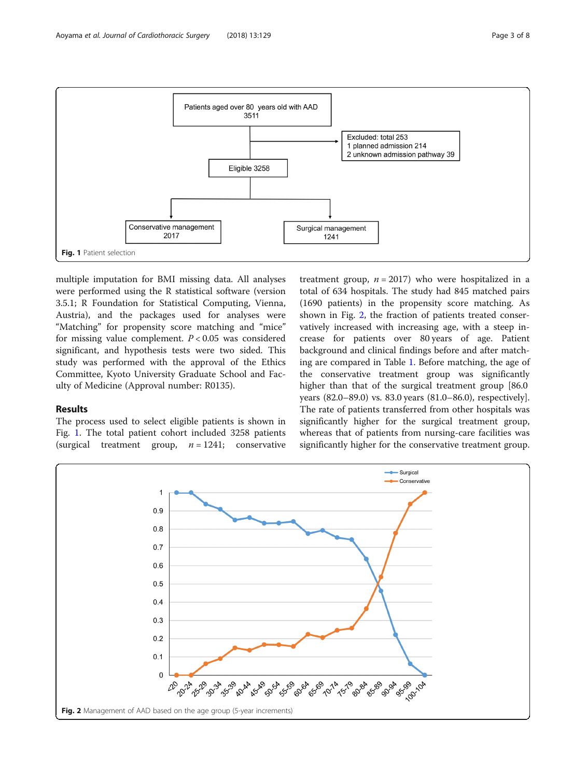<span id="page-2-0"></span>

multiple imputation for BMI missing data. All analyses were performed using the R statistical software (version 3.5.1; R Foundation for Statistical Computing, Vienna, Austria), and the packages used for analyses were "Matching" for propensity score matching and "mice" for missing value complement.  $P < 0.05$  was considered significant, and hypothesis tests were two sided. This study was performed with the approval of the Ethics Committee, Kyoto University Graduate School and Faculty of Medicine (Approval number: R0135).

# Results

The process used to select eligible patients is shown in Fig. 1. The total patient cohort included 3258 patients (surgical treatment group,  $n = 1241$ ; conservative

treatment group,  $n = 2017$ ) who were hospitalized in a total of 634 hospitals. The study had 845 matched pairs (1690 patients) in the propensity score matching. As shown in Fig. 2, the fraction of patients treated conservatively increased with increasing age, with a steep increase for patients over 80 years of age. Patient background and clinical findings before and after matching are compared in Table [1](#page-3-0). Before matching, the age of the conservative treatment group was significantly higher than that of the surgical treatment group [86.0] years (82.0–89.0) vs. 83.0 years (81.0–86.0), respectively]. The rate of patients transferred from other hospitals was significantly higher for the surgical treatment group, whereas that of patients from nursing-care facilities was significantly higher for the conservative treatment group.

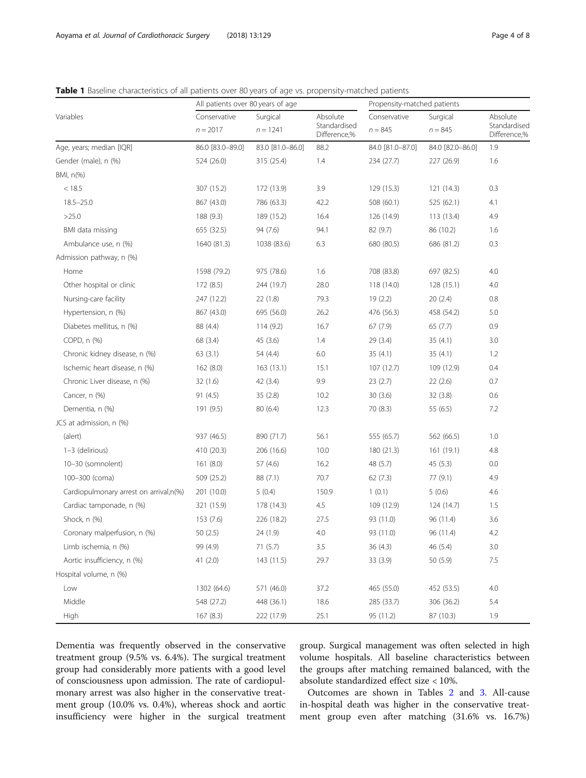<span id="page-3-0"></span>

| Table 1 Baseline characteristics of all patients over 80 years of age vs. propensity-matched patients |  |  |
|-------------------------------------------------------------------------------------------------------|--|--|
|-------------------------------------------------------------------------------------------------------|--|--|

|                                        | All patients over 80 years of age |                  |                                                        | Propensity-matched patients |                  |                                          |
|----------------------------------------|-----------------------------------|------------------|--------------------------------------------------------|-----------------------------|------------------|------------------------------------------|
| Variables                              | Conservative                      | Surgical         | Absolute<br>Standardised<br>$n = 1241$<br>Difference,% | Conservative                | Surgical         | Absolute<br>Standardised<br>Difference,% |
|                                        | $n = 2017$                        |                  |                                                        | $n = 845$                   | $n = 845$        |                                          |
| Age, years; median [IQR]               | 86.0 [83.0-89.0]                  | 83.0 [81.0-86.0] | 88.2                                                   | 84.0 [81.0-87.0]            | 84.0 [82.0-86.0] | 1.9                                      |
| Gender (male), n (%)                   | 524 (26.0)                        | 315 (25.4)       | 1.4                                                    | 234 (27.7)                  | 227 (26.9)       | 1.6                                      |
| BMI, n(%)                              |                                   |                  |                                                        |                             |                  |                                          |
| < 18.5                                 | 307 (15.2)                        | 172 (13.9)       | 3.9                                                    | 129 (15.3)                  | 121(14.3)        | 0.3                                      |
| $18.5 - 25.0$                          | 867 (43.0)                        | 786 (63.3)       | 42.2                                                   | 508 (60.1)                  | 525 (62.1)       | 4.1                                      |
| >25.0                                  | 188 (9.3)                         | 189 (15.2)       | 16.4                                                   | 126 (14.9)                  | 113 (13.4)       | 4.9                                      |
| BMI data missing                       | 655 (32.5)                        | 94 (7.6)         | 94.1                                                   | 82 (9.7)                    | 86 (10.2)        | 1.6                                      |
| Ambulance use, n (%)                   | 1640 (81.3)                       | 1038 (83.6)      | 6.3                                                    | 680 (80.5)                  | 686 (81.2)       | 0.3                                      |
| Admission pathway, n (%)               |                                   |                  |                                                        |                             |                  |                                          |
| Home                                   | 1598 (79.2)                       | 975 (78.6)       | 1.6                                                    | 708 (83.8)                  | 697 (82.5)       | 4.0                                      |
| Other hospital or clinic               | 172 (8.5)                         | 244 (19.7)       | 28.0                                                   | 118 (14.0)                  | 128(15.1)        | 4.0                                      |
| Nursing-care facility                  | 247 (12.2)                        | 22(1.8)          | 79.3                                                   | 19 (2.2)                    | 20(2.4)          | 0.8                                      |
| Hypertension, n (%)                    | 867 (43.0)                        | 695 (56.0)       | 26.2                                                   | 476 (56.3)                  | 458 (54.2)       | 5.0                                      |
| Diabetes mellitus, n (%)               | 88 (4.4)                          | 114(9.2)         | 16.7                                                   | 67(7.9)                     | 65(7.7)          | 0.9                                      |
| COPD, n (%)                            | 68 (3.4)                          | 45(3.6)          | 1.4                                                    | 29 (3.4)                    | 35(4.1)          | 3.0                                      |
| Chronic kidney disease, n (%)          | 63(3.1)                           | 54 (4.4)         | 6.0                                                    | 35(4.1)                     | 35(4.1)          | 1.2                                      |
| Ischemic heart disease, n (%)          | 162(8.0)                          | 163(13.1)        | 15.1                                                   | 107(12.7)                   | 109 (12.9)       | 0.4                                      |
| Chronic Liver disease, n (%)           | 32(1.6)                           | 42(3.4)          | 9.9                                                    | 23 (2.7)                    | 22(2.6)          | 0.7                                      |
| Cancer, n (%)                          | 91(4.5)                           | 35(2.8)          | 10.2                                                   | 30(3.6)                     | 32(3.8)          | 0.6                                      |
| Dementia, n (%)                        | 191 (9.5)                         | 80(6.4)          | 12.3                                                   | 70 (8.3)                    | 55(6.5)          | 7.2                                      |
| JCS at admission, n (%)                |                                   |                  |                                                        |                             |                  |                                          |
| (alert)                                | 937 (46.5)                        | 890 (71.7)       | 56.1                                                   | 555 (65.7)                  | 562 (66.5)       | 1.0                                      |
| 1-3 (delirious)                        | 410 (20.3)                        | 206 (16.6)       | 10.0                                                   | 180 (21.3)                  | 161(19.1)        | 4.8                                      |
| 10-30 (somnolent)                      | 161 (8.0)                         | 57 (4.6)         | 16.2                                                   | 48 (5.7)                    | 45(5.3)          | 0.0                                      |
| 100-300 (coma)                         | 509 (25.2)                        | 88(7.1)          | 70.7                                                   | 62(7.3)                     | 77(9.1)          | 4.9                                      |
| Cardiopulmonary arrest on arrival,n(%) | 201 (10.0)                        | 5(0.4)           | 150.9                                                  | 1(0.1)                      | 5(0.6)           | 4.6                                      |
| Cardiac tamponade, n (%)               | 321 (15.9)                        | 178 (14.3)       | 4.5                                                    | 109 (12.9)                  | 124 (14.7)       | 1.5                                      |
| Shock, n (%)                           | 153(7.6)                          | 226 (18.2)       | 27.5                                                   | 93 (11.0)                   | 96 (11.4)        | 3.6                                      |
| Coronary malperfusion, n (%)           | 50(2.5)                           | 24 (1.9)         | 4.0                                                    | 93 (11.0)                   | 96 (11.4)        | 4.2                                      |
| Limb ischemia, n (%)                   | 99 (4.9)                          | 71 (5.7)         | 3.5                                                    | 36 (4.3)                    | 46 (5.4)         | 3.0                                      |
| Aortic insufficiency, n (%)            | 41 $(2.0)$                        | 143 (11.5)       | 29.7                                                   | 33 (3.9)                    | 50 (5.9)         | $7.5\,$                                  |
| Hospital volume, n (%)                 |                                   |                  |                                                        |                             |                  |                                          |
| Low                                    | 1302 (64.6)                       | 571 (46.0)       | 37.2                                                   | 465 (55.0)                  | 452 (53.5)       | 4.0                                      |
| Middle                                 | 548 (27.2)                        | 448 (36.1)       | 18.6                                                   | 285 (33.7)                  | 306 (36.2)       | 5.4                                      |
| High                                   | 167(8.3)                          | 222 (17.9)       | 25.1                                                   | 95 (11.2)                   | 87 (10.3)        | 1.9                                      |

Dementia was frequently observed in the conservative treatment group (9.5% vs. 6.4%). The surgical treatment group had considerably more patients with a good level of consciousness upon admission. The rate of cardiopulmonary arrest was also higher in the conservative treatment group (10.0% vs. 0.4%), whereas shock and aortic insufficiency were higher in the surgical treatment

group. Surgical management was often selected in high volume hospitals. All baseline characteristics between the groups after matching remained balanced, with the absolute standardized effect size < 10%.

Outcomes are shown in Tables [2](#page-4-0) and [3.](#page-4-0) All-cause in-hospital death was higher in the conservative treatment group even after matching (31.6% vs. 16.7%)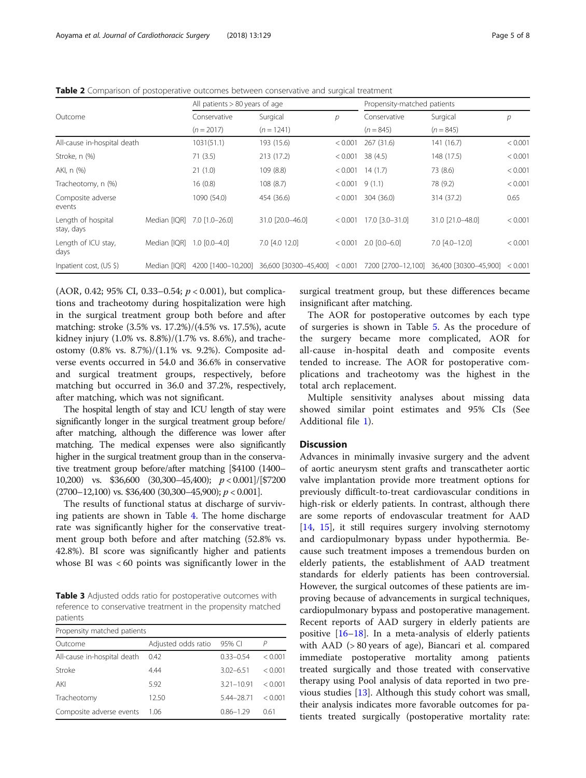| Outcome                          |              | All patients > 80 years of age |                               |               | Propensity-matched patients |                                          |         |
|----------------------------------|--------------|--------------------------------|-------------------------------|---------------|-----------------------------|------------------------------------------|---------|
|                                  |              | Conservative                   | Surgical                      | $\mathcal{P}$ | Conservative                | Surgical                                 | р       |
|                                  |              | $(n = 2017)$                   | $(n = 1241)$                  |               | $(n = 845)$                 | $(n = 845)$                              |         |
| All-cause in-hospital death      |              | 1031(51.1)                     | 193 (15.6)                    | < 0.001       | 267 (31.6)                  | 141(16.7)                                | < 0.001 |
| Stroke, n (%)                    |              | 71(3.5)                        | 213 (17.2)                    | < 0.001       | 38(4.5)                     | 148 (17.5)                               | < 0.001 |
| AKI, n (%)                       |              | 21(1.0)                        | 109 (8.8)                     | < 0.001       | 14(1.7)                     | 73 (8.6)                                 | < 0.001 |
| Tracheotomy, n (%)               |              | 16(0.8)                        | 108 (8.7)                     | < 0.001       | 9(1.1)                      | 78 (9.2)                                 | < 0.001 |
| Composite adverse<br>events      |              | 1090 (54.0)                    | 454 (36.6)                    | < 0.001       | 304 (36.0)                  | 314 (37.2)                               | 0.65    |
| Length of hospital<br>stay, days | Median [IOR] | $7.0$ $[1.0 - 26.0]$           | 31.0 [20.0-46.0]              | < 0.001       | 17.0 [3.0-31.0]             | 31.0 [21.0-48.0]                         | < 0.001 |
| Length of ICU stay,<br>days      | Median [IQR] | $1.0$ $[0.0 - 4.0]$            | 7.0 [4.0 12.0]                | < 0.001       | $2.0$ $[0.0 - 6.0]$         | $7.0$ $[4.0 - 12.0]$                     | < 0.001 |
| Inpatient cost, (US \$)          | Median [IOR] | 4200 [1400-10.200]             | 36,600 [30300-45,400] < 0.001 |               |                             | 7200 [2700-12,100] 36,400 [30300-45,900] | < 0.001 |
|                                  |              |                                |                               |               |                             |                                          |         |

<span id="page-4-0"></span>Table 2 Comparison of postoperative outcomes between conservative and surgical treatment

(AOR, 0.42; 95% CI, 0.33–0.54;  $p < 0.001$ ), but complications and tracheotomy during hospitalization were high in the surgical treatment group both before and after matching: stroke (3.5% vs. 17.2%)/(4.5% vs. 17.5%), acute kidney injury (1.0% vs. 8.8%)/(1.7% vs. 8.6%), and tracheostomy (0.8% vs. 8.7%)/(1.1% vs. 9.2%). Composite adverse events occurred in 54.0 and 36.6% in conservative and surgical treatment groups, respectively, before matching but occurred in 36.0 and 37.2%, respectively, after matching, which was not significant.

The hospital length of stay and ICU length of stay were significantly longer in the surgical treatment group before/ after matching, although the difference was lower after matching. The medical expenses were also significantly higher in the surgical treatment group than in the conservative treatment group before/after matching [\$4100 (1400– 10,200) vs. \$36,600 (30,300-45,400);  $p < 0.001$ |/[\$7200  $(2700-12,100)$  vs. \$36,400  $(30,300-45,900)$ ;  $p < 0.001$ ].

The results of functional status at discharge of surviving patients are shown in Table [4](#page-5-0). The home discharge rate was significantly higher for the conservative treatment group both before and after matching (52.8% vs. 42.8%). BI score was significantly higher and patients whose BI was < 60 points was significantly lower in the

Table 3 Adjusted odds ratio for postoperative outcomes with reference to conservative treatment in the propensity matched patients

| Propensity matched patients |                     |                |         |  |  |  |  |
|-----------------------------|---------------------|----------------|---------|--|--|--|--|
| Outcome                     | Adjusted odds ratio | 95% CI         | P       |  |  |  |  |
| All-cause in-hospital death | 0.42                | $0.33 - 0.54$  | < 0.001 |  |  |  |  |
| Stroke                      | 4.44                | $3.02 - 6.51$  | < 0.001 |  |  |  |  |
| AKI                         | 5.92                | $3.21 - 10.91$ | < 0.001 |  |  |  |  |
| Tracheotomy                 | 12.50               | 5.44-28.71     | < 0.001 |  |  |  |  |
| Composite adverse events    | 1.06                | $0.86 - 1.29$  | 0.61    |  |  |  |  |

surgical treatment group, but these differences became insignificant after matching.

The AOR for postoperative outcomes by each type of surgeries is shown in Table [5.](#page-5-0) As the procedure of the surgery became more complicated, AOR for all-cause in-hospital death and composite events tended to increase. The AOR for postoperative complications and tracheotomy was the highest in the total arch replacement.

Multiple sensitivity analyses about missing data showed similar point estimates and 95% CIs (See Additional file [1](#page-6-0)).

# Discussion

Advances in minimally invasive surgery and the advent of aortic aneurysm stent grafts and transcatheter aortic valve implantation provide more treatment options for previously difficult-to-treat cardiovascular conditions in high-risk or elderly patients. In contrast, although there are some reports of endovascular treatment for AAD [[14,](#page-6-0) [15\]](#page-7-0), it still requires surgery involving sternotomy and cardiopulmonary bypass under hypothermia. Because such treatment imposes a tremendous burden on elderly patients, the establishment of AAD treatment standards for elderly patients has been controversial. However, the surgical outcomes of these patients are improving because of advancements in surgical techniques, cardiopulmonary bypass and postoperative management. Recent reports of AAD surgery in elderly patients are positive  $[16–18]$  $[16–18]$  $[16–18]$  $[16–18]$  $[16–18]$ . In a meta-analysis of elderly patients with AAD (> 80 years of age), Biancari et al. compared immediate postoperative mortality among patients treated surgically and those treated with conservative therapy using Pool analysis of data reported in two previous studies [[13\]](#page-6-0). Although this study cohort was small, their analysis indicates more favorable outcomes for patients treated surgically (postoperative mortality rate: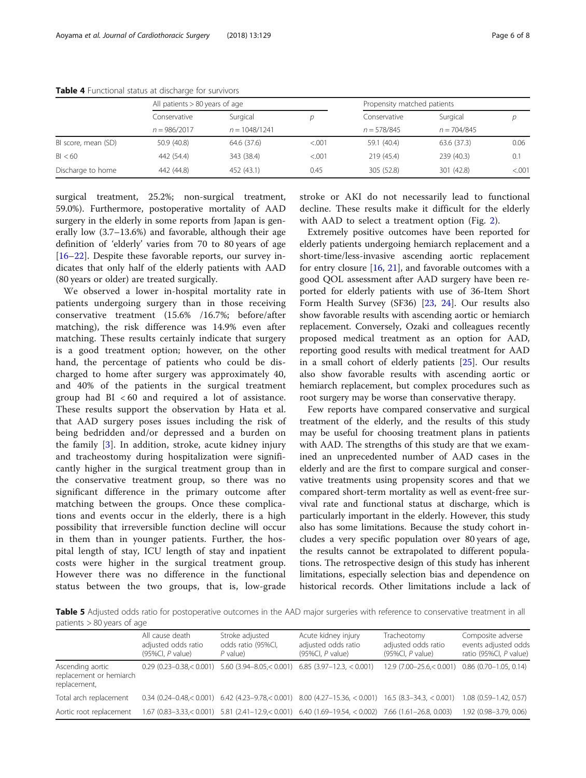|                     | All patients $> 80$ years of age |                 |         | Propensity matched patients |               |         |
|---------------------|----------------------------------|-----------------|---------|-----------------------------|---------------|---------|
|                     | Conservative                     | Surgical        |         | Conservative                | Surgical      |         |
|                     | $n = 986/2017$                   | $n = 1048/1241$ |         | $n = 578/845$               | $n = 704/845$ |         |
| BI score, mean (SD) | 50.9 (40.8)                      | 64.6 (37.6)     | < 0.001 | 59.1 (40.4)                 | 63.6 (37.3)   | 0.06    |
| BI < 60             | 442 (54.4)                       | 343 (38.4)      | < 0.001 | 219 (45.4)                  | 239 (40.3)    | 0.1     |
| Discharge to home   | 442 (44.8)                       | 452 (43.1)      | 0.45    | 305 (52.8)                  | 301 (42.8)    | < 0.001 |

<span id="page-5-0"></span>Table 4 Functional status at discharge for survivors

surgical treatment, 25.2%; non-surgical treatment, 59.0%). Furthermore, postoperative mortality of AAD surgery in the elderly in some reports from Japan is generally low (3.7–13.6%) and favorable, although their age definition of 'elderly' varies from 70 to 80 years of age [[16](#page-7-0)–[22](#page-7-0)]. Despite these favorable reports, our survey indicates that only half of the elderly patients with AAD (80 years or older) are treated surgically.

We observed a lower in-hospital mortality rate in patients undergoing surgery than in those receiving conservative treatment (15.6% /16.7%; before/after matching), the risk difference was 14.9% even after matching. These results certainly indicate that surgery is a good treatment option; however, on the other hand, the percentage of patients who could be discharged to home after surgery was approximately 40, and 40% of the patients in the surgical treatment group had BI < 60 and required a lot of assistance. These results support the observation by Hata et al. that AAD surgery poses issues including the risk of being bedridden and/or depressed and a burden on the family [\[3](#page-6-0)]. In addition, stroke, acute kidney injury and tracheostomy during hospitalization were significantly higher in the surgical treatment group than in the conservative treatment group, so there was no significant difference in the primary outcome after matching between the groups. Once these complications and events occur in the elderly, there is a high possibility that irreversible function decline will occur in them than in younger patients. Further, the hospital length of stay, ICU length of stay and inpatient costs were higher in the surgical treatment group. However there was no difference in the functional status between the two groups, that is, low-grade stroke or AKI do not necessarily lead to functional decline. These results make it difficult for the elderly with AAD to select a treatment option (Fig. [2](#page-2-0)).

Extremely positive outcomes have been reported for elderly patients undergoing hemiarch replacement and a short-time/less-invasive ascending aortic replacement for entry closure [\[16,](#page-7-0) [21](#page-7-0)], and favorable outcomes with a good QOL assessment after AAD surgery have been reported for elderly patients with use of 36-Item Short Form Health Survey (SF36) [[23,](#page-7-0) [24\]](#page-7-0). Our results also show favorable results with ascending aortic or hemiarch replacement. Conversely, Ozaki and colleagues recently proposed medical treatment as an option for AAD, reporting good results with medical treatment for AAD in a small cohort of elderly patients [\[25](#page-7-0)]. Our results also show favorable results with ascending aortic or hemiarch replacement, but complex procedures such as root surgery may be worse than conservative therapy.

Few reports have compared conservative and surgical treatment of the elderly, and the results of this study may be useful for choosing treatment plans in patients with AAD. The strengths of this study are that we examined an unprecedented number of AAD cases in the elderly and are the first to compare surgical and conservative treatments using propensity scores and that we compared short-term mortality as well as event-free survival rate and functional status at discharge, which is particularly important in the elderly. However, this study also has some limitations. Because the study cohort includes a very specific population over 80 years of age, the results cannot be extrapolated to different populations. The retrospective design of this study has inherent limitations, especially selection bias and dependence on historical records. Other limitations include a lack of

Table 5 Adjusted odds ratio for postoperative outcomes in the AAD major surgeries with reference to conservative treatment in all patients > 80 years of age

|                                                             | All cause death<br>adjusted odds ratio<br>$(95\%Cl, P$ value) | Stroke adjusted<br>odds ratio (95%Cl,<br>$P$ value) | Acute kidney injury<br>adjusted odds ratio<br>$(95\%Cl, P$ value)                                         | Tracheotomy<br>adjusted odds ratio<br>$(95\%Cl, P$ value) | Composite adverse<br>events adjusted odds<br>ratio (95%Cl, P value) |
|-------------------------------------------------------------|---------------------------------------------------------------|-----------------------------------------------------|-----------------------------------------------------------------------------------------------------------|-----------------------------------------------------------|---------------------------------------------------------------------|
| Ascending aortic<br>replacement or hemiarch<br>replacement, |                                                               |                                                     | $0.29$ (0.23-0.38, < 0.001) 5.60 (3.94-8.05, < 0.001) 6.85 (3.97-12.3, < 0.001)                           | $12.9(7.00-25.6< 0.001)$                                  | $0.86(0.70 - 1.05, 0.14)$                                           |
| Total arch replacement                                      |                                                               |                                                     | $0.34$ (0.24–0.48, < 0.001) 6.42 (4.23–9.78, < 0.001) 8.00 (4.27–15.36, < 0.001) 16.5 (8.3–34.3, < 0.001) |                                                           | $1.08$ (0.59-1.42, 0.57)                                            |
| Aortic root replacement                                     |                                                               |                                                     | 1.67 (0.83-3.33,<0.001) 5.81 (2.41-12.9,<0.001) 6.40 (1.69-19.54, <0.002) 7.66 (1.61-26.8, 0.003)         |                                                           | 1.92 (0.98-3.79, 0.06)                                              |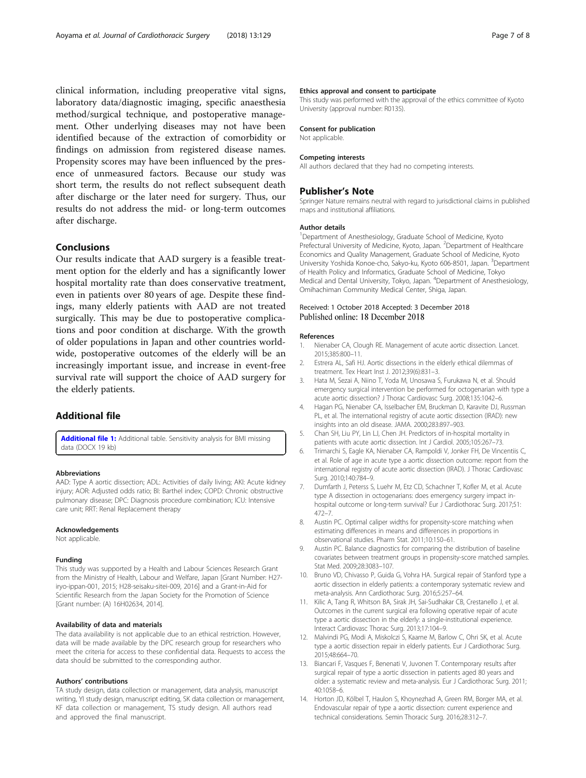<span id="page-6-0"></span>clinical information, including preoperative vital signs, laboratory data/diagnostic imaging, specific anaesthesia method/surgical technique, and postoperative management. Other underlying diseases may not have been identified because of the extraction of comorbidity or findings on admission from registered disease names. Propensity scores may have been influenced by the presence of unmeasured factors. Because our study was short term, the results do not reflect subsequent death after discharge or the later need for surgery. Thus, our results do not address the mid- or long-term outcomes after discharge.

## Conclusions

Our results indicate that AAD surgery is a feasible treatment option for the elderly and has a significantly lower hospital mortality rate than does conservative treatment, even in patients over 80 years of age. Despite these findings, many elderly patients with AAD are not treated surgically. This may be due to postoperative complications and poor condition at discharge. With the growth of older populations in Japan and other countries worldwide, postoperative outcomes of the elderly will be an increasingly important issue, and increase in event-free survival rate will support the choice of AAD surgery for the elderly patients.

# Additional file

[Additional file 1:](https://doi.org/10.1186/s13019-018-0814-6) Additional table. Sensitivity analysis for BMI missing data (DOCX 19 kb)

#### Abbreviations

AAD: Type A aortic dissection; ADL: Activities of daily living; AKI: Acute kidney injury; AOR: Adjusted odds ratio; BI: Barthel index; COPD: Chronic obstructive pulmonary disease; DPC: Diagnosis procedure combination; ICU: Intensive care unit; RRT: Renal Replacement therapy

## Acknowledgements

Not applicable.

#### Funding

This study was supported by a Health and Labour Sciences Research Grant from the Ministry of Health, Labour and Welfare, Japan [Grant Number: H27 iryo-ippan-001, 2015; H28-seisaku-sitei-009, 2016] and a Grant-in-Aid for Scientific Research from the Japan Society for the Promotion of Science [Grant number: (A) 16H02634, 2014].

#### Availability of data and materials

The data availability is not applicable due to an ethical restriction. However, data will be made available by the DPC research group for researchers who meet the criteria for access to these confidential data. Requests to access the data should be submitted to the corresponding author.

#### Authors' contributions

TA study design, data collection or management, data analysis, manuscript writing, YI study design, manuscript editing, SK data collection or management, KF data collection or management, TS study design. All authors read and approved the final manuscript.

#### Ethics approval and consent to participate

This study was performed with the approval of the ethics committee of Kyoto University (approval number: R0135).

## Consent for publication

Not applicable.

#### Competing interests

All authors declared that they had no competing interests.

## Publisher's Note

Springer Nature remains neutral with regard to jurisdictional claims in published maps and institutional affiliations.

#### Author details

<sup>1</sup>Department of Anesthesiology, Graduate School of Medicine, Kyoto Prefectural University of Medicine, Kyoto, Japan. <sup>2</sup>Department of Healthcare Economics and Quality Management, Graduate School of Medicine, Kyoto University Yoshida Konoe-cho, Sakyo-ku, Kyoto 606-8501, Japan. <sup>3</sup>Department of Health Policy and Informatics, Graduate School of Medicine, Tokyo Medical and Dental University, Tokyo, Japan. <sup>4</sup>Department of Anesthesiology Omihachiman Community Medical Center, Shiga, Japan.

## Received: 1 October 2018 Accepted: 3 December 2018 Published online: 18 December 2018

#### References

- 1. Nienaber CA, Clough RE. Management of acute aortic dissection. Lancet. 2015;385:800–11.
- 2. Estrera AL, Safi HJ. Aortic dissections in the elderly ethical dilemmas of treatment. Tex Heart Inst J. 2012;39(6):831–3.
- 3. Hata M, Sezai A, Niino T, Yoda M, Unosawa S, Furukawa N, et al. Should emergency surgical intervention be performed for octogenarian with type a acute aortic dissection? J Thorac Cardiovasc Surg. 2008;135:1042–6.
- 4. Hagan PG, Nienaber CA, Isselbacher EM, Bruckman D, Karavite DJ, Russman PL, et al. The international registry of acute aortic dissection (IRAD): new insights into an old disease. JAMA. 2000;283:897–903.
- 5. Chan SH, Liu PY, Lin LJ, Chen JH. Predictors of in-hospital mortality in patients with acute aortic dissection. Int J Cardiol. 2005;105:267–73.
- 6. Trimarchi S, Eagle KA, Nienaber CA, Rampoldi V, Jonker FH, De Vincentiis C, et al. Role of age in acute type a aortic dissection outcome: report from the international registry of acute aortic dissection (IRAD). J Thorac Cardiovasc Surg. 2010;140:784–9.
- 7. Dumfarth J, Peterss S, Luehr M, Etz CD, Schachner T, Kofler M, et al. Acute type A dissection in octogenarians: does emergency surgery impact inhospital outcome or long-term survival? Eur J Cardiothorac Surg. 2017;51: 472–7.
- 8. Austin PC. Optimal caliper widths for propensity-score matching when estimating differences in means and differences in proportions in observational studies. Pharm Stat. 2011;10:150–61.
- 9. Austin PC. Balance diagnostics for comparing the distribution of baseline covariates between treatment groups in propensity-score matched samples. Stat Med. 2009;28:3083–107.
- 10. Bruno VD, Chivasso P, Guida G, Vohra HA. Surgical repair of Stanford type a aortic dissection in elderly patients: a contemporary systematic review and meta-analysis. Ann Cardiothorac Surg. 2016;5:257–64.
- 11. Kilic A, Tang R, Whitson BA, Sirak JH, Sai-Sudhakar CB, Crestanello J, et al. Outcomes in the current surgical era following operative repair of acute type a aortic dissection in the elderly: a single-institutional experience. Interact Cardiovasc Thorac Surg. 2013;17:104–9.
- 12. Malvindi PG, Modi A, Miskolczi S, Kaarne M, Barlow C, Ohri SK, et al. Acute type a aortic dissection repair in elderly patients. Eur J Cardiothorac Surg. 2015;48:664–70.
- 13. Biancari F, Vasques F, Benenati V, Juvonen T. Contemporary results after surgical repair of type a aortic dissection in patients aged 80 years and older: a systematic review and meta-analysis. Eur J Cardiothorac Surg. 2011; 40:1058–6.
- 14. Horton JD, Kölbel T, Haulon S, Khoynezhad A, Green RM, Borger MA, et al. Endovascular repair of type a aortic dissection: current experience and technical considerations. Semin Thoracic Surg. 2016;28:312–7.